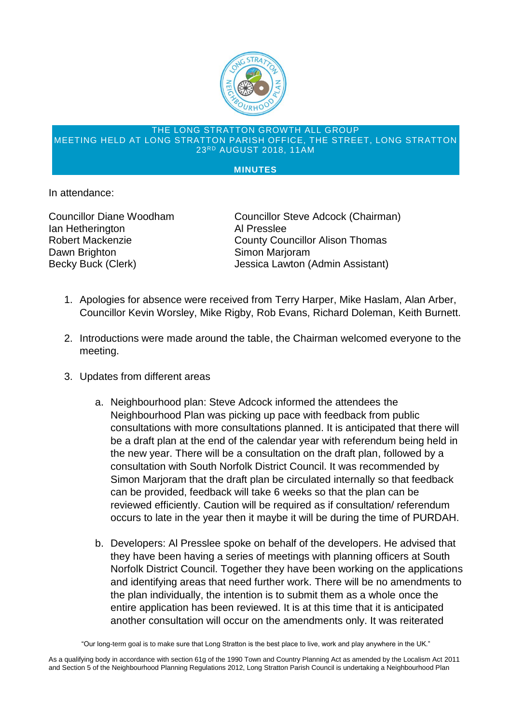

## THE LONG STRATTON GROWTH ALL GROUP MEETING HELD AT LONG STRATTON PARISH OFFICE, THE STREET, LONG STRATTON 23 RD AUGUST 2018, 11AM

## **MINUTES**

In attendance:

**Ian Hetherington Al Presslee** Dawn Brighton Simon Marjoram

Councillor Diane Woodham Councillor Steve Adcock (Chairman) Robert Mackenzie **County Councillor Alison Thomas** Becky Buck (Clerk) **Jessica Lawton (Admin Assistant)** 

- 1. Apologies for absence were received from Terry Harper, Mike Haslam, Alan Arber, Councillor Kevin Worsley, Mike Rigby, Rob Evans, Richard Doleman, Keith Burnett.
- 2. Introductions were made around the table, the Chairman welcomed everyone to the meeting.
- 3. Updates from different areas
	- a. Neighbourhood plan: Steve Adcock informed the attendees the Neighbourhood Plan was picking up pace with feedback from public consultations with more consultations planned. It is anticipated that there will be a draft plan at the end of the calendar year with referendum being held in the new year. There will be a consultation on the draft plan, followed by a consultation with South Norfolk District Council. It was recommended by Simon Marjoram that the draft plan be circulated internally so that feedback can be provided, feedback will take 6 weeks so that the plan can be reviewed efficiently. Caution will be required as if consultation/ referendum occurs to late in the year then it maybe it will be during the time of PURDAH.
	- b. Developers: Al Presslee spoke on behalf of the developers. He advised that they have been having a series of meetings with planning officers at South Norfolk District Council. Together they have been working on the applications and identifying areas that need further work. There will be no amendments to the plan individually, the intention is to submit them as a whole once the entire application has been reviewed. It is at this time that it is anticipated another consultation will occur on the amendments only. It was reiterated

"Our long-term goal is to make sure that Long Stratton is the best place to live, work and play anywhere in the UK."

As a qualifying body in accordance with section 61g of the 1990 Town and Country Planning Act as amended by the Localism Act 2011 and Section 5 of the Neighbourhood Planning Regulations 2012, Long Stratton Parish Council is undertaking a Neighbourhood Plan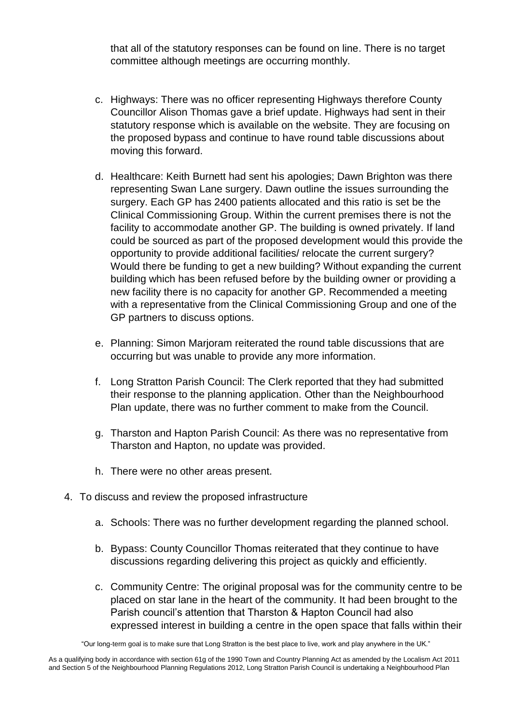that all of the statutory responses can be found on line. There is no target committee although meetings are occurring monthly.

- c. Highways: There was no officer representing Highways therefore County Councillor Alison Thomas gave a brief update. Highways had sent in their statutory response which is available on the website. They are focusing on the proposed bypass and continue to have round table discussions about moving this forward.
- d. Healthcare: Keith Burnett had sent his apologies; Dawn Brighton was there representing Swan Lane surgery. Dawn outline the issues surrounding the surgery. Each GP has 2400 patients allocated and this ratio is set be the Clinical Commissioning Group. Within the current premises there is not the facility to accommodate another GP. The building is owned privately. If land could be sourced as part of the proposed development would this provide the opportunity to provide additional facilities/ relocate the current surgery? Would there be funding to get a new building? Without expanding the current building which has been refused before by the building owner or providing a new facility there is no capacity for another GP. Recommended a meeting with a representative from the Clinical Commissioning Group and one of the GP partners to discuss options.
- e. Planning: Simon Marjoram reiterated the round table discussions that are occurring but was unable to provide any more information.
- f. Long Stratton Parish Council: The Clerk reported that they had submitted their response to the planning application. Other than the Neighbourhood Plan update, there was no further comment to make from the Council.
- g. Tharston and Hapton Parish Council: As there was no representative from Tharston and Hapton, no update was provided.
- h. There were no other areas present.
- 4. To discuss and review the proposed infrastructure
	- a. Schools: There was no further development regarding the planned school.
	- b. Bypass: County Councillor Thomas reiterated that they continue to have discussions regarding delivering this project as quickly and efficiently.
	- c. Community Centre: The original proposal was for the community centre to be placed on star lane in the heart of the community. It had been brought to the Parish council's attention that Tharston & Hapton Council had also expressed interest in building a centre in the open space that falls within their

"Our long-term goal is to make sure that Long Stratton is the best place to live, work and play anywhere in the UK."